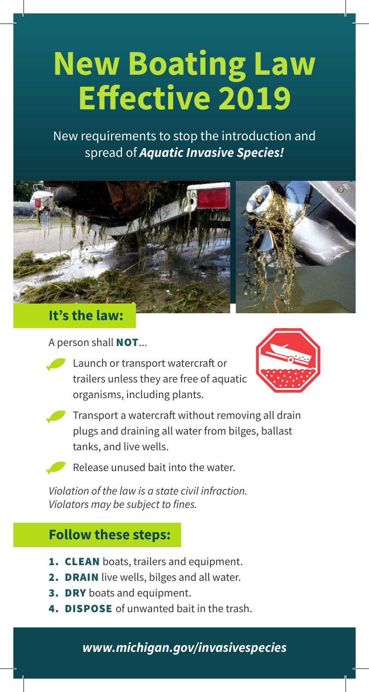## **New Boating Law Effective 2019**

New requirements to stop the introduction and spread of *Aquatic Invasive Species!*



**It's the law:**

## A person shall **NOT...**

Launch or transport watercraft or trailers unless they are free of aquatic organisms, including plants.





• Transport a watercraft without removing all drain plugs and draining all water from bilges, ballast tanks, and live wells.

• Release unused bait into the water.

*Violation of the law is a state civil infraction. Violators may be subject to fines.*

## **Follow these steps:**

- **1. CLEAN** boats, trailers and equipment.
- **2. DRAIN** live wells, bilges and all water.
- 3. DRY boats and equipment.
- **4. DISPOSE** of unwanted bait in the trash.

## *www.michigan.gov/invasivespecies*